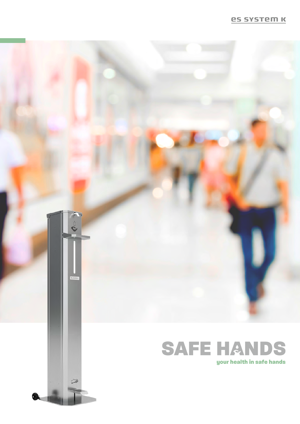### **es system K**

# $\sim$

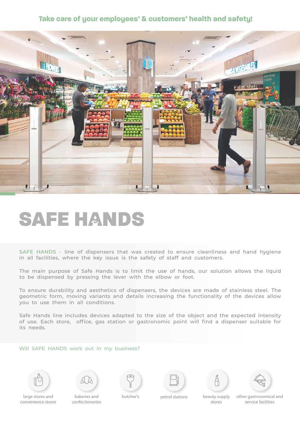## **Take care of your employees' & customers' health and safety!**



# **SAFE HANDS**

**SAFE HANDS -** line of dispensers that was created to ensure cleanliness and hand hygiene in all facilities, where the key issue is the safety of staff and customers.

The main purpose of Safe Hands is to limit the use of hands, our solution allows the liquid to be dispensed by pressing the lever with the elbow or foot.

To ensure durability and aesthetics of dispensers, the devices are made of stainless steel. The geometric form, moving variants and details increasing the functionality of the devices allow you to use them in all conditions.

Safe Hands line includes devices adapted to the size of the object and the expected intensity of use. Each store, office, gas station or gastronomic point will find a dispenser suitable for its needs.

### Will SAFE HANDS work out in my business?















large stores and convenience stores

bakeries and confectioneries

butcher's petrol stations beauty supply stores

other gastronomical and service facilities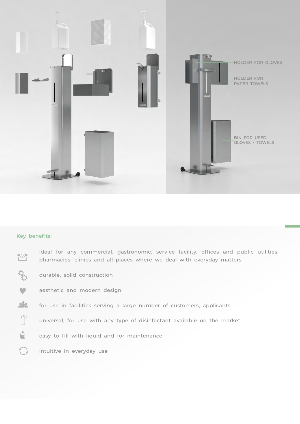

### **Key benefits:**

| ∩⊗ | ideal for any commercial, gastronomic, service facility, offices and public utilities,<br>pharmacies, clinics and all places where we deal with everyday matters |
|----|------------------------------------------------------------------------------------------------------------------------------------------------------------------|
|    | durable, solid construction                                                                                                                                      |
|    | aesthetic and modern design                                                                                                                                      |
| 22 | for use in facilities serving a large number of customers, applicants                                                                                            |
|    | universal, for use with any type of disinfectant available on the market                                                                                         |
|    | easy to fill with liquid and for maintenance                                                                                                                     |
|    | intuitive in everyday use                                                                                                                                        |
|    |                                                                                                                                                                  |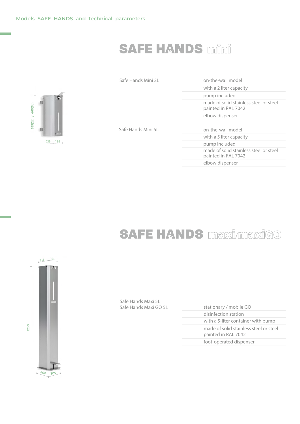# **SAFE HANDS mini**

| 355(2L) / 465(5L) |     | 看<br><b>BESIDEN</b> |
|-------------------|-----|---------------------|
|                   | 215 | 185                 |

| Safe Hands Mini 2L | on-the-wall model                                             |
|--------------------|---------------------------------------------------------------|
|                    | with a 2 liter capacity                                       |
|                    | pump included                                                 |
|                    | made of solid stainless steel or steel<br>painted in RAL 7042 |
|                    | elbow dispenser                                               |
|                    |                                                               |
| Safe Hands Mini 5L | on-the-wall model                                             |
|                    | with a 5 liter capacity                                       |
|                    | pump included                                                 |
|                    | made of solid stainless steel or steel<br>painted in RAL 7042 |
|                    | elbow dispenser                                               |

# **SAFE HANDS** maximaxiGO



Safe Hands Maxi 5L Safe Hands Maxi 5L

| Safe Hands Maxi GO 5L | stationary / mobile GO                                        |
|-----------------------|---------------------------------------------------------------|
|                       | disinfection station                                          |
|                       | with a 5-liter container with pump                            |
|                       | made of solid stainless steel or steel<br>painted in RAL 7042 |
|                       | foot-operated dispenser                                       |
|                       |                                                               |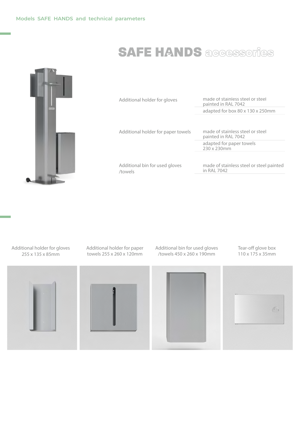# **SAFE HANDS** accessories



Additional holder for gloves

Additional holder for paper towels

made of stainless steel or steel painted in RAL 7042 adapted for box 80 x 130 x 250mm

made of stainless steel or steel painted in RAL 7042 adapted for paper towels 230 x 230mm

Additional bin for used gloves /towels

made of stainless steel or steel painted in RAL 7042

Additional holder for gloves 255 x 135 x 85mm



Additional holder for paper towels 255 x 260 x 120mm

Additional bin for used gloves /towels 450 x 260 x 190mm

Tear-off glove box 110 x 175 x 35mm